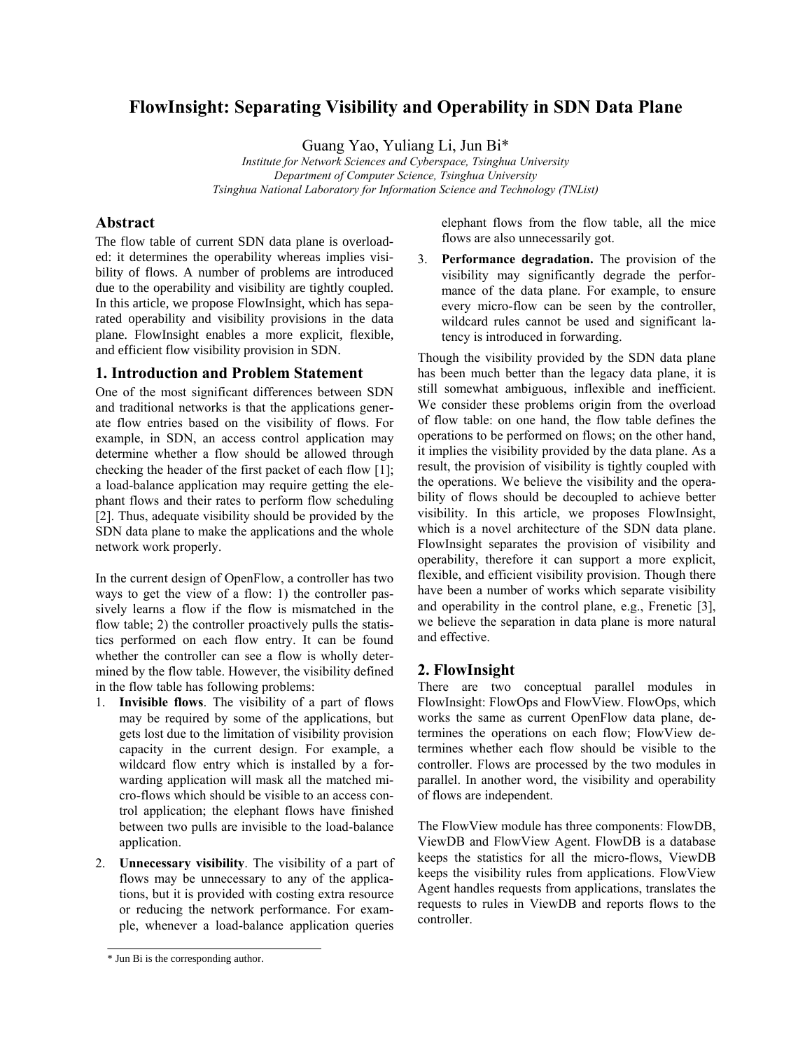# **FlowInsight: Separating Visibility and Operability in SDN Data Plane**

Guang Yao, Yuliang Li, Jun Bi\*

*Institute for Network Sciences and Cyberspace, Tsinghua University Department of Computer Science, Tsinghua University Tsinghua National Laboratory for Information Science and Technology (TNList)*

#### **Abstract**

The flow table of current SDN data plane is overloaded: it determines the operability whereas implies visibility of flows. A number of problems are introduced due to the operability and visibility are tightly coupled. In this article, we propose FlowInsight, which has separated operability and visibility provisions in the data plane. FlowInsight enables a more explicit, flexible, and efficient flow visibility provision in SDN.

## **1. Introduction and Problem Statement**

One of the most significant differences between SDN and traditional networks is that the applications generate flow entries based on the visibility of flows. For example, in SDN, an access control application may determine whether a flow should be allowed through checking the header of the first packet of each flow [\[1\]](#page-1-0); a load-balance application may require getting the elephant flows and their rates to perform flow scheduling [\[2\]](#page-1-1). Thus, adequate visibility should be provided by the SDN data plane to make the applications and the whole network work properly.

In the current design of OpenFlow, a controller has two ways to get the view of a flow: 1) the controller passively learns a flow if the flow is mismatched in the flow table; 2) the controller proactively pulls the statistics performed on each flow entry. It can be found whether the controller can see a flow is wholly determined by the flow table. However, the visibility defined in the flow table has following problems:

- 1. **Invisible flows**. The visibility of a part of flows may be required by some of the applications, but gets lost due to the limitation of visibility provision capacity in the current design. For example, a wildcard flow entry which is installed by a forwarding application will mask all the matched micro-flows which should be visible to an access control application; the elephant flows have finished between two pulls are invisible to the load-balance application.
- 2. **Unnecessary visibility**. The visibility of a part of flows may be unnecessary to any of the applications, but it is provided with costing extra resource or reducing the network performance. For example, whenever a load-balance application queries

elephant flows from the flow table, all the mice flows are also unnecessarily got.

3. **Performance degradation.** The provision of the visibility may significantly degrade the performance of the data plane. For example, to ensure every micro-flow can be seen by the controller, wildcard rules cannot be used and significant latency is introduced in forwarding.

Though the visibility provided by the SDN data plane has been much better than the legacy data plane, it is still somewhat ambiguous, inflexible and inefficient. We consider these problems origin from the overload of flow table: on one hand, the flow table defines the operations to be performed on flows; on the other hand, it implies the visibility provided by the data plane. As a result, the provision of visibility is tightly coupled with the operations. We believe the visibility and the operability of flows should be decoupled to achieve better visibility. In this article, we proposes FlowInsight, which is a novel architecture of the SDN data plane. FlowInsight separates the provision of visibility and operability, therefore it can support a more explicit, flexible, and efficient visibility provision. Though there have been a number of works which separate visibility and operability in the control plane, e.g., Frenetic [3], we believe the separation in data plane is more natural and effective.

## **2. FlowInsight**

There are two conceptual parallel modules in FlowInsight: FlowOps and FlowView. FlowOps, which works the same as current OpenFlow data plane, determines the operations on each flow; FlowView determines whether each flow should be visible to the controller. Flows are processed by the two modules in parallel. In another word, the visibility and operability of flows are independent.

The FlowView module has three components: FlowDB, ViewDB and FlowView Agent. FlowDB is a database keeps the statistics for all the micro-flows, ViewDB keeps the visibility rules from applications. FlowView Agent handles requests from applications, translates the requests to rules in ViewDB and reports flows to the controller.

<sup>\*</sup> Jun Bi is the corresponding author.